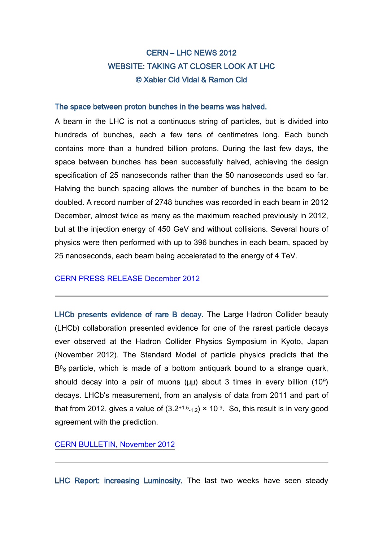# CERN – LHC NEWS 2012 WEBSITE: TAKING AT CLOSER LOOK AT LHC © Xabier Cid Vidal & Ramon Cid

#### The space between proton bunches in the beams was halved.

A beam in the LHC is not a continuous string of particles, but is divided into hundreds of bunches, each a few tens of centimetres long. Each bunch contains more than a hundred billion protons. During the last few days, the space between bunches has been successfully halved, achieving the design specification of 25 nanoseconds rather than the 50 nanoseconds used so far. Halving the bunch spacing allows the number of bunches in the beam to be doubled. A record number of 2748 bunches was recorded in each beam in 2012 December, almost twice as many as the maximum reached previously in 2012, but at the injection energy of 450 GeV and without collisions. Several hours of physics were then performed with up to 396 bunches in each beam, spaced by 25 nanoseconds, each beam being accelerated to the energy of 4 TeV.

## CERN PRESS [RELEASE December 2012](http://press.web.cern.ch/press-releases/2012/12/first-lhc-protons-run-ends-new-milestone)

LHCb presents evidence of rare B decay. The Large Hadron Collider beauty (LHCb) collaboration presented evidence for one of the rarest particle decays ever observed at the Hadron Collider Physics Symposium in Kyoto, Japan (November 2012). The Standard Model of particle physics predicts that the  $B<sup>0</sup>s$  particle, which is made of a bottom antiquark bound to a strange quark, should decay into a pair of muons  $(\mu\mu)$  about 3 times in every billion  $(10^9)$ decays. LHCb's measurement, from an analysis of data from 2011 and part of that from 2012, gives a value of  $(3.2^{+1.5}1.2) \times 10^{-9}$ . So, this result is in very good agreement with the prediction.

## [CERN BULLETIN, November 2012](http://cdsweb.cern.ch/journal/CERNBulletin/2012/46/News%20Articles/1493237?ln=en)

LHC Report: increasing Luminosity. The last two weeks have seen steady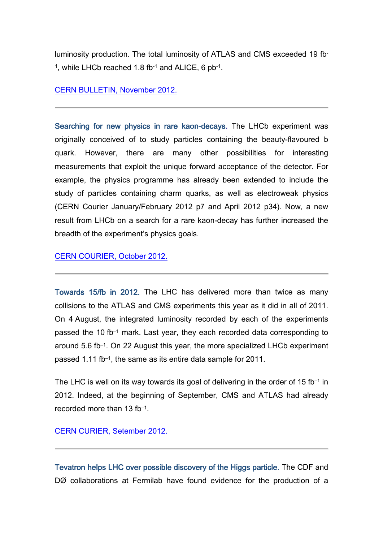luminosity production. The total luminosity of ATLAS and CMS exceeded 19 fb-1, while LHCb reached 1.8 fb-1 and ALICE, 6 pb-1.

## [CERN BULLETIN, November 2012.](http://cdsweb.cern.ch/journal/CERNBulletin/2012/45/News%20Articles/1490674?ln=en)

Searching for new physics in rare kaon-decays. The LHCb experiment was originally conceived of to study particles containing the beauty-flavoured b quark. However, there are many other possibilities for interesting measurements that exploit the unique forward acceptance of the detector. For example, the physics programme has already been extended to include the study of particles containing charm quarks, as well as electroweak physics (CERN Courier January/February 2012 p7 and April 2012 p34). Now, a new result from LHCb on a search for a rare kaon-decay has further increased the breadth of the experiment's physics goals.

[CERN COURIER, October 2012.](http://cerncourier.com/cws/article/cern/50783)

Towards 15/fb in 2012. The LHC has delivered more than twice as many collisions to the ATLAS and CMS experiments this year as it did in all of 2011. On 4 August, the integrated luminosity recorded by each of the experiments passed the 10 fb–1 mark. Last year, they each recorded data corresponding to around 5.6 fb–1. On 22 August this year, the more specialized LHCb experiment passed 1.11 fb–1, the same as its entire data sample for 2011.

The LHC is well on its way towards its goal of delivering in the order of 15 fb $-1$  in 2012. Indeed, at the beginning of September, CMS and ATLAS had already recorded more than 13 fb–1.

[CERN CURIER, Setember 2012.](http://cerncourier.com/cws/article/cern/50780)

Tevatron helps LHC over possible discovery of the Higgs particle. The CDF and DØ collaborations at Fermilab have found evidence for the production of a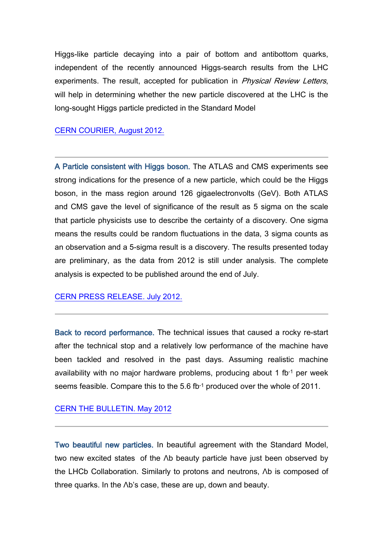Higgs-like particle decaying into a pair of bottom and antibottom quarks, independent of the recently announced Higgs-search results from the LHC experiments. The result, accepted for publication in *Physical Review Letters*, will help in determining whether the new particle discovered at the LHC is the long-sought Higgs particle predicted in the Standard Model

#### [CERN COURIER, August 2012.](http://cerncourier.com/cws/article/cern/50543)

A Particle consistent with Higgs boson. The ATLAS and CMS experiments see strong indications for the presence of a new particle, which could be the Higgs boson, in the mass region around 126 gigaelectronvolts (GeV). Both ATLAS and CMS gave the level of significance of the result as 5 sigma on the scale that particle physicists use to describe the certainty of a discovery. One sigma means the results could be random fluctuations in the data, 3 sigma counts as an observation and a 5-sigma result is a discovery. The results presented today are preliminary, as the data from 2012 is still under analysis. The complete analysis is expected to be published around the end of July.

#### [CERN PRESS RELEASE. July 2012.](http://press.web.cern.ch/press/PressReleases/Releases2012/PR17.12E.html)

Back to record performance. The technical issues that caused a rocky re-start after the technical stop and a relatively low performance of the machine have been tackled and resolved in the past days. Assuming realistic machine availability with no major hardware problems, producing about 1 fb-1 per week seems feasible. Compare this to the 5.6 fb-1 produced over the whole of 2011.

#### [CERN THE BULLETIN. May 2012](http://cdsweb.cern.ch/journal/CERNBulletin/2012/23/News%20Articles/1450229?ln=en)

Two beautiful new particles. In beautiful agreement with the Standard Model, two new excited states of the Λb beauty particle have just been observed by the LHCb Collaboration. Similarly to protons and neutrons, Λb is composed of three quarks. In the Λb's case, these are up, down and beauty.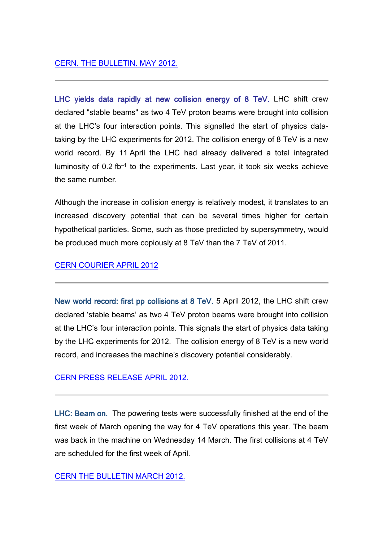LHC yields data rapidly at new collision energy of 8 TeV. LHC shift crew declared "stable beams" as two 4 TeV proton beams were brought into collision at the LHC's four interaction points. This signalled the start of physics datataking by the LHC experiments for 2012. The collision energy of 8 TeV is a new world record. By 11 April the LHC had already delivered a total integrated luminosity of 0.2 fb–1 to the experiments. Last year, it took six weeks achieve the same number.

Although the increase in collision energy is relatively modest, it translates to an increased discovery potential that can be several times higher for certain hypothetical particles. Some, such as those predicted by supersymmetry, would be produced much more copiously at 8 TeV than the 7 TeV of 2011.

# [CERN COURIER APRIL 2012](http://cerncourier.com/cws/article/cern/49334)

New world record: first pp collisions at 8 TeV. 5 April 2012, the LHC shift crew declared 'stable beams' as two 4 TeV proton beams were brought into collision at the LHC's four interaction points. This signals the start of physics data taking by the LHC experiments for 2012. The collision energy of 8 TeV is a new world record, and increases the machine's discovery potential considerably.

# CERN [PRESS RELEASE APRIL 2012.](http://press.web.cern.ch/press/PressReleases/Releases2012/PR10.12E.html)

LHC: Beam on. The powering tests were successfully finished at the end of the first week of March opening the way for 4 TeV operations this year. The beam was back in the machine on Wednesday 14 March. The first collisions at 4 TeV are scheduled for the first week of April.

# [CERN THE BULLETIN MARCH 2012.](http://cdsweb.cern.ch/journal/CERNBulletin/2012/12/News%20Articles/1431898?ln=en)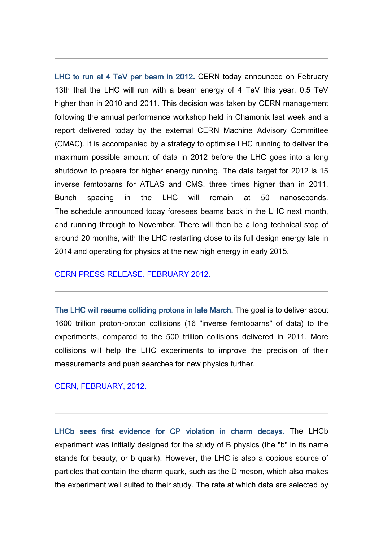LHC to run at 4 TeV per beam in 2012. CERN today announced on February 13th that the LHC will run with a beam energy of 4 TeV this year, 0.5 TeV higher than in 2010 and 2011. This decision was taken by CERN management following the annual performance workshop held in Chamonix last week and a report delivered today by the external CERN Machine Advisory Committee (CMAC). It is accompanied by a strategy to optimise LHC running to deliver the maximum possible amount of data in 2012 before the LHC goes into a long shutdown to prepare for higher energy running. The data target for 2012 is 15 inverse femtobarns for ATLAS and CMS, three times higher than in 2011. Bunch spacing in the LHC will remain at 50 nanoseconds. The schedule announced today foresees beams back in the LHC next month, and running through to November. There will then be a long technical stop of around 20 months, with the LHC restarting close to its full design energy late in 2014 and operating for physics at the new high energy in early 2015.

#### [CERN PRESS RELEASE. FEBRUARY 2012.](http://press.web.cern.ch/press/PressReleases/Releases2012/PR01.12E.html)

The LHC will resume colliding protons in late March. The goal is to deliver about 1600 trillion proton-proton collisions (16 "inverse femtobarns" of data) to the experiments, compared to the 500 trillion collisions delivered in 2011. More collisions will help the LHC experiments to improve the precision of their measurements and push searches for new physics further.

#### [CERN, FEBRUARY, 2012.](http://press.web.cern.ch/press/PressReleases/Releases2012/PR01.12E.html)

LHCb sees first evidence for CP violation in charm decays. The LHCb experiment was initially designed for the study of B physics (the "b" in its name stands for beauty, or b quark). However, the LHC is also a copious source of particles that contain the charm quark, such as the D meson, which also makes the experiment well suited to their study. The rate at which data are selected by